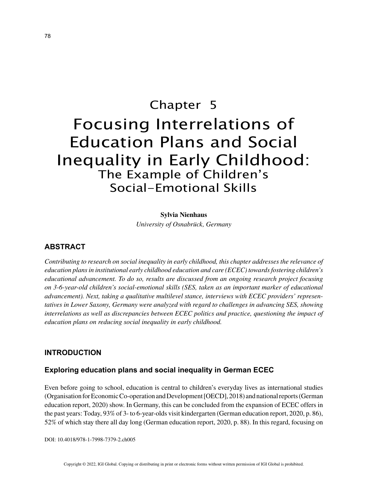# Chapter 5 Focusing Interrelations of Education Plans and Social Inequality in Early Childhood: The Example of Children's Social-Emotional Skills

#### **Sylvia Nienhaus**

*University of Osnabrück, Germany*

#### **ABSTRACT**

*Contributing to research on social inequality in early childhood, this chapter addresses the relevance of education plans in institutional early childhood education and care (ECEC) towards fostering children's educational advancement. To do so, results are discussed from an ongoing research project focusing on 3-6-year-old children's social-emotional skills (SES, taken as an important marker of educational advancement). Next, taking a qualitative multilevel stance, interviews with ECEC providers' representatives in Lower Saxony, Germany were analyzed with regard to challenges in advancing SES, showing interrelations as well as discrepancies between ECEC politics and practice, questioning the impact of education plans on reducing social inequality in early childhood.*

#### **INTRODUCTION**

#### **Exploring education plans and social inequality in German ECEC**

Even before going to school, education is central to children's everyday lives as international studies (Organisation for Economic Co-operation and Development [OECD], 2018) and national reports (German education report, 2020) show. In Germany, this can be concluded from the expansion of ECEC offers in the past years: Today, 93% of 3- to 6-year-olds visit kindergarten (German education report, 2020, p. 86), 52% of which stay there all day long (German education report, 2020, p. 88). In this regard, focusing on

DOI: 10.4018/978-1-7998-7379-2.ch005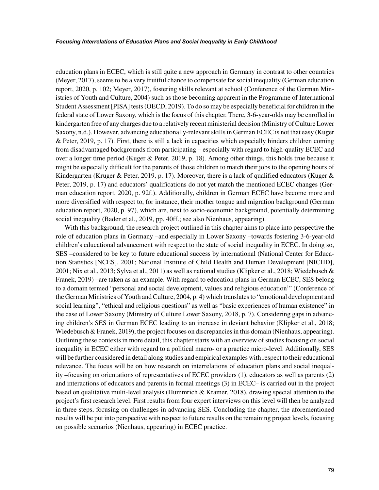education plans in ECEC, which is still quite a new approach in Germany in contrast to other countries (Meyer, 2017), seems to be a very fruitful chance to compensate for social inequality (German education report, 2020, p. 102; Meyer, 2017), fostering skills relevant at school (Conference of the German Ministries of Youth and Culture, 2004) such as those becoming apparent in the Programme of International Student Assessment [PISA] tests (OECD, 2019). To do so may be especially beneficial for children in the federal state of Lower Saxony, which is the focus of this chapter. There, 3-6-year-olds may be enrolled in kindergarten free of any charges due to a relatively recent ministerial decision (Ministry of Culture Lower Saxony, n.d.). However, advancing educationally-relevant skills in German ECEC is not that easy (Kuger & Peter, 2019, p. 17). First, there is still a lack in capacities which especially hinders children coming from disadvantaged backgrounds from participating – especially with regard to high-quality ECEC and over a longer time period (Kuger & Peter, 2019, p. 18). Among other things, this holds true because it might be especially difficult for the parents of those children to match their jobs to the opening hours of Kindergarten (Kruger & Peter, 2019, p. 17). Moreover, there is a lack of qualified educators (Kuger  $\&$ Peter, 2019, p. 17) and educators' qualifications do not yet match the mentioned ECEC changes (German education report, 2020, p. 92f.). Additionally, children in German ECEC have become more and more diversified with respect to, for instance, their mother tongue and migration background (German education report, 2020, p. 97), which are, next to socio-economic background, potentially determining social inequality (Bader et al., 2019, pp. 40ff.; see also Nienhaus, appearing).

With this background, the research project outlined in this chapter aims to place into perspective the role of education plans in Germany –and especially in Lower Saxony –towards fostering 3-6-year-old children's educational advancement with respect to the state of social inequality in ECEC. In doing so, SES –considered to be key to future educational success by international (National Center for Education Statistics [NCES], 2001; National Institute of Child Health and Human Development [NICHD], 2001; Nix et al., 2013; Sylva et al., 2011) as well as national studies (Klipker et al., 2018; Wiedebusch & Franek, 2019) –are taken as an example. With regard to education plans in German ECEC, SES belong to a domain termed "personal and social development, values and religious education<sup>1</sup>" (Conference of the German Ministries of Youth and Culture, 2004, p. 4) which translates to "emotional development and social learning", "ethical and religious questions" as well as "basic experiences of human existence" in the case of Lower Saxony (Ministry of Culture Lower Saxony, 2018, p. 7). Considering gaps in advancing children's SES in German ECEC leading to an increase in deviant behavior (Klipker et al., 2018; Wiedebusch & Franek, 2019), the project focuses on discrepancies in this domain (Nienhaus, appearing). Outlining these contexts in more detail, this chapter starts with an overview of studies focusing on social inequality in ECEC either with regard to a political macro- or a practice micro-level. Additionally, SES will be further considered in detail along studies and empirical examples with respect to their educational relevance. The focus will be on how research on interrelations of education plans and social inequality –focusing on orientations of representatives of ECEC providers (1), educators as well as parents (2) and interactions of educators and parents in formal meetings (3) in ECEC– is carried out in the project based on qualitative multi-level analysis (Hummrich & Kramer, 2018), drawing special attention to the project's first research level. First results from four expert interviews on this level will then be analyzed in three steps, focusing on challenges in advancing SES. Concluding the chapter, the aforementioned results will be put into perspective with respect to future results on the remaining project levels, focusing on possible scenarios (Nienhaus, appearing) in ECEC practice.